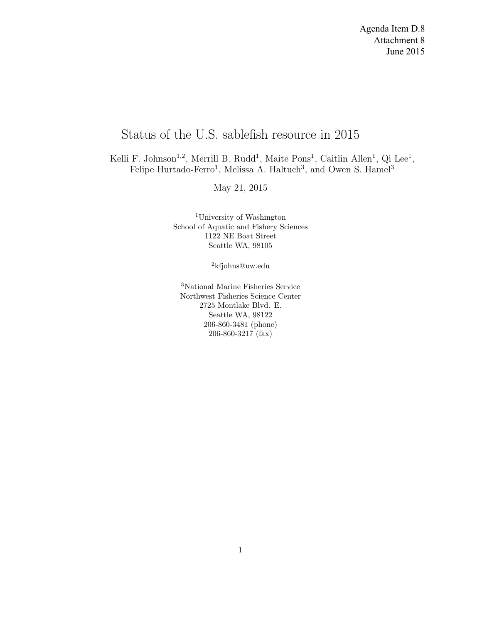Agenda Item D.8 Attachment 8 June 2015

# Status of the U.S. sablefish resource in 2015

Kelli F. Johnson<sup>1,2</sup>, Merrill B. Rudd<sup>1</sup>, Maite Pons<sup>1</sup>, Caitlin Allen<sup>1</sup>, Qi Lee<sup>1</sup>, Felipe Hurtado-Ferro<sup>1</sup>, Melissa A. Haltuch<sup>3</sup>, and Owen S. Hamel<sup>3</sup>

May 21, 2015

<sup>1</sup>University of Washington School of Aquatic and Fishery Sciences 1122 NE Boat Street Seattle WA, 98105

<sup>2</sup>kfjohns@uw.edu

<sup>3</sup>National Marine Fisheries Service Northwest Fisheries Science Center 2725 Montlake Blvd. E. Seattle WA, 98122 206-860-3481 (phone) 206-860-3217 (fax)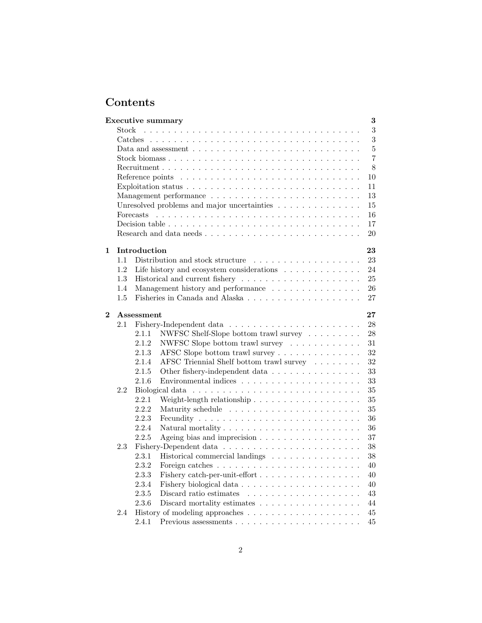# Contents

|                |       |                  | 3<br>Executive summary                                                                             |
|----------------|-------|------------------|----------------------------------------------------------------------------------------------------|
|                | Stock |                  | 3                                                                                                  |
|                |       |                  | 3                                                                                                  |
|                |       |                  | 5<br>Data and assessment $\dots \dots \dots \dots \dots \dots \dots \dots \dots \dots \dots \dots$ |
|                |       |                  | $\overline{7}$                                                                                     |
|                |       |                  | 8                                                                                                  |
|                |       |                  | 10                                                                                                 |
|                |       |                  | 11                                                                                                 |
|                |       |                  | 13                                                                                                 |
|                |       |                  | Unresolved problems and major uncertainties<br>15                                                  |
|                |       | <b>Forecasts</b> | 16                                                                                                 |
|                |       |                  | 17                                                                                                 |
|                |       |                  | 20                                                                                                 |
| 1              |       | Introduction     | 23                                                                                                 |
|                | 1.1   |                  | Distribution and stock structure $\ldots \ldots \ldots \ldots \ldots \ldots$<br>23                 |
|                | 1.2   |                  | 24<br>Life history and ecosystem considerations $\ldots \ldots \ldots \ldots$                      |
|                | 1.3   |                  | 25                                                                                                 |
|                | 1.4   |                  | Management history and performance<br>26                                                           |
|                | 1.5   |                  | 27                                                                                                 |
|                |       |                  |                                                                                                    |
| $\overline{2}$ |       | Assessment       | $27\,$                                                                                             |
|                | 2.1   |                  | 28                                                                                                 |
|                |       | 2.1.1            | NWFSC Shelf-Slope bottom trawl survey $\;\ldots\; \ldots\; \ldots\; \ldots$<br>28                  |
|                |       | 2.1.2            | NWFSC Slope bottom trawl survey<br>31                                                              |
|                |       | 2.1.3            | AFSC Slope bottom trawl survey<br>32                                                               |
|                |       | 2.1.4            | AFSC Triennial Shelf bottom trawl survey<br>32                                                     |
|                |       | 2.1.5            | 33<br>Other fishery-independent data                                                               |
|                |       | 2.1.6            | Environmental indices $\ldots \ldots \ldots \ldots \ldots \ldots \ldots$<br>33                     |
|                | 2.2   |                  | 35                                                                                                 |
|                |       | 2.2.1            | 35                                                                                                 |
|                |       | 2.2.2            | 35                                                                                                 |
|                |       | 2.2.3            | 36                                                                                                 |
|                |       | 2.2.4            | 36                                                                                                 |
|                |       | 2.2.5            | 37<br>Ageing bias and imprecision                                                                  |
|                | 2.3   |                  | 38                                                                                                 |
|                |       | 2.3.1            | Historical commercial landings<br>38                                                               |
|                |       | 2.3.2            | 40                                                                                                 |
|                |       | 2.3.3            | Fishery catch-per-unit-effort<br>40                                                                |
|                |       | 2.3.4            | 40                                                                                                 |
|                |       | 2.3.5            | Discard ratio estimates $\ldots \ldots \ldots \ldots \ldots \ldots$<br>43                          |
|                |       | 2.3.6            | Discard mortality estimates $\dots \dots \dots \dots \dots \dots$<br>44                            |
|                | 2.4   |                  | 45                                                                                                 |
|                |       | 2.4.1            | 45                                                                                                 |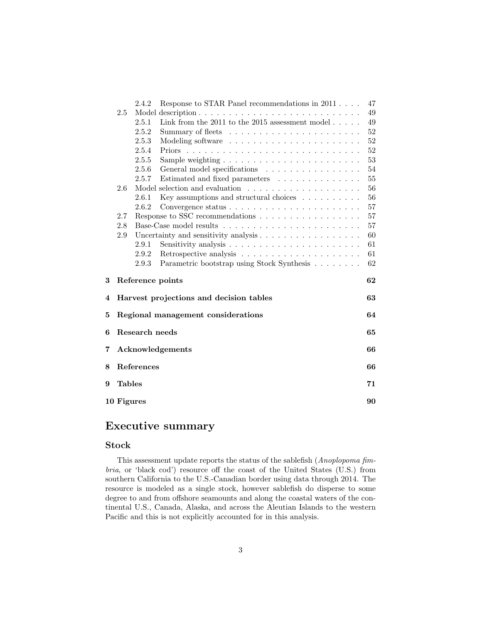|   |                  | 2.4.2          | Response to STAR Panel recommendations in 2011                             | 47     |  |  |  |  |  |
|---|------------------|----------------|----------------------------------------------------------------------------|--------|--|--|--|--|--|
|   | 2.5              |                |                                                                            | 49     |  |  |  |  |  |
|   |                  | 2.5.1          | Link from the 2011 to the 2015 assessment model $\ldots$ .                 | 49     |  |  |  |  |  |
|   |                  | 2.5.2          |                                                                            | 52     |  |  |  |  |  |
|   |                  | 2.5.3          |                                                                            | $52\,$ |  |  |  |  |  |
|   |                  | 2.5.4          |                                                                            | 52     |  |  |  |  |  |
|   |                  | 2.5.5          |                                                                            | 53     |  |  |  |  |  |
|   |                  | 2.5.6          | General model specifications                                               | 54     |  |  |  |  |  |
|   |                  | 2.5.7          | Estimated and fixed parameters $\ldots \ldots \ldots \ldots$               | $55\,$ |  |  |  |  |  |
|   | 2.6              |                |                                                                            | 56     |  |  |  |  |  |
|   |                  | 2.6.1          | Key assumptions and structural choices $\ldots \ldots \ldots$              | 56     |  |  |  |  |  |
|   |                  | 2.6.2          | Convergence status $\dots \dots \dots \dots \dots \dots \dots \dots \dots$ | 57     |  |  |  |  |  |
|   | 2.7              |                | Response to SSC recommendations $\dots \dots \dots \dots \dots \dots$      | $57\,$ |  |  |  |  |  |
|   | $2.8\,$          |                |                                                                            | 57     |  |  |  |  |  |
|   | $2.9\,$          |                | Uncertainty and sensitivity analysis                                       | 60     |  |  |  |  |  |
|   |                  | 2.9.1          |                                                                            | 61     |  |  |  |  |  |
|   |                  | 2.9.2          |                                                                            | 61     |  |  |  |  |  |
|   |                  | 2.9.3          | Parametric bootstrap using Stock Synthesis                                 | 62     |  |  |  |  |  |
| 3 |                  |                | Reference points                                                           | 62     |  |  |  |  |  |
| 4 |                  |                | Harvest projections and decision tables                                    | 63     |  |  |  |  |  |
| 5 |                  |                | Regional management considerations                                         | 64     |  |  |  |  |  |
| 6 |                  | Research needs |                                                                            | 65     |  |  |  |  |  |
| 7 |                  |                | Acknowledgements                                                           | 66     |  |  |  |  |  |
| 8 | References<br>66 |                |                                                                            |        |  |  |  |  |  |
| 9 | <b>Tables</b>    |                |                                                                            | 71     |  |  |  |  |  |
|   | 10 Figures<br>90 |                |                                                                            |        |  |  |  |  |  |

## Executive summary

## Stock

This assessment update reports the status of the sablefish (Anoplopoma fimbria, or 'black cod') resource off the coast of the United States (U.S.) from southern California to the U.S.-Canadian border using data through 2014. The resource is modeled as a single stock, however sablefish do disperse to some degree to and from offshore seamounts and along the coastal waters of the continental U.S., Canada, Alaska, and across the Aleutian Islands to the western Pacific and this is not explicitly accounted for in this analysis.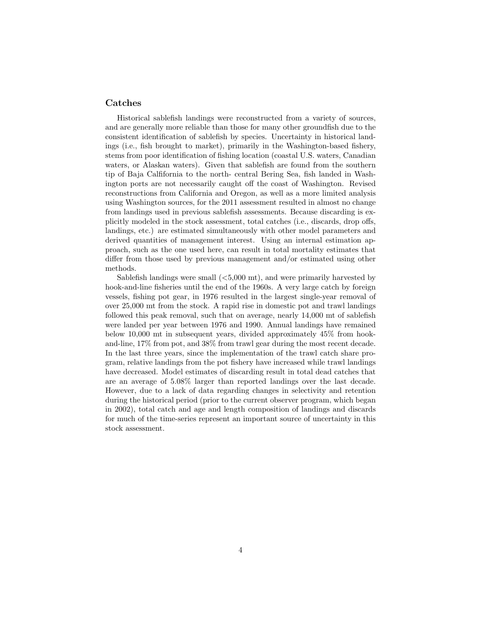## Catches

Historical sablefish landings were reconstructed from a variety of sources, and are generally more reliable than those for many other groundfish due to the consistent identification of sablefish by species. Uncertainty in historical landings (i.e., fish brought to market), primarily in the Washington-based fishery, stems from poor identification of fishing location (coastal U.S. waters, Canadian waters, or Alaskan waters). Given that sablefish are found from the southern tip of Baja Calfifornia to the north- central Bering Sea, fish landed in Washington ports are not necessarily caught off the coast of Washington. Revised reconstructions from California and Oregon, as well as a more limited analysis using Washington sources, for the 2011 assessment resulted in almost no change from landings used in previous sablefish assessments. Because discarding is explicitly modeled in the stock assessment, total catches (i.e., discards, drop offs, landings, etc.) are estimated simultaneously with other model parameters and derived quantities of management interest. Using an internal estimation approach, such as the one used here, can result in total mortality estimates that differ from those used by previous management and/or estimated using other methods.

Sablefish landings were small  $( $5,000 \text{ mt}$ ), and were primarily harvested by$ hook-and-line fisheries until the end of the 1960s. A very large catch by foreign vessels, fishing pot gear, in 1976 resulted in the largest single-year removal of over 25,000 mt from the stock. A rapid rise in domestic pot and trawl landings followed this peak removal, such that on average, nearly 14,000 mt of sablefish were landed per year between 1976 and 1990. Annual landings have remained below 10,000 mt in subsequent years, divided approximately 45% from hookand-line, 17% from pot, and 38% from trawl gear during the most recent decade. In the last three years, since the implementation of the trawl catch share program, relative landings from the pot fishery have increased while trawl landings have decreased. Model estimates of discarding result in total dead catches that are an average of 5.08% larger than reported landings over the last decade. However, due to a lack of data regarding changes in selectivity and retention during the historical period (prior to the current observer program, which began in 2002), total catch and age and length composition of landings and discards for much of the time-series represent an important source of uncertainty in this stock assessment.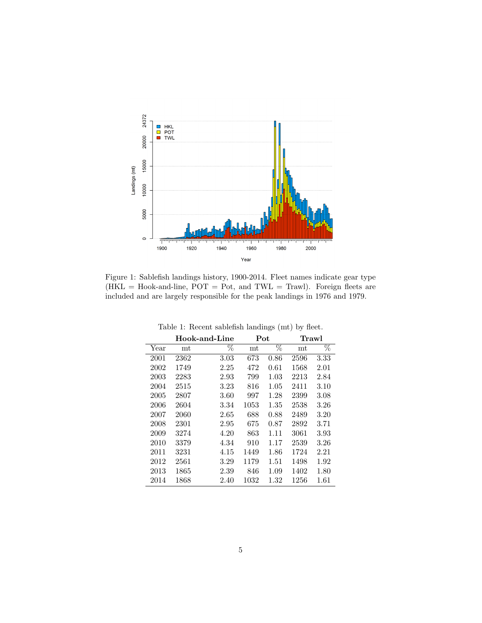

Figure 1: Sablefish landings history, 1900-2014. Fleet names indicate gear type  $(HKL = Hook-and-line, POT = Pot, and TWL = Trawl)$ . Foreign fleets are included and are largely responsible for the peak landings in 1976 and 1979.

|      |             | Hook-and-Line | Pot         |      | Trawl |                 |
|------|-------------|---------------|-------------|------|-------|-----------------|
| Year | $_{\rm mt}$ | %             | $m_{\rm t}$ | %    | mt    | $\overline{\%}$ |
| 2001 | 2362        | 3.03          | 673         | 0.86 | 2596  | 3.33            |
| 2002 | 1749        | 2.25          | 472         | 0.61 | 1568  | 2.01            |
| 2003 | 2283        | 2.93          | 799         | 1.03 | 2213  | 2.84            |
| 2004 | 2515        | 3.23          | 816         | 1.05 | 2411  | 3.10            |
| 2005 | 2807        | 3.60          | 997         | 1.28 | 2399  | 3.08            |
| 2006 | 2604        | 3.34          | 1053        | 1.35 | 2538  | 3.26            |
| 2007 | 2060        | 2.65          | 688         | 0.88 | 2489  | 3.20            |
| 2008 | 2301        | 2.95          | 675         | 0.87 | 2892  | 3.71            |
| 2009 | 3274        | 4.20          | 863         | 1.11 | 3061  | 3.93            |
| 2010 | 3379        | 4.34          | 910         | 1.17 | 2539  | 3.26            |
| 2011 | 3231        | 4.15          | 1449        | 1.86 | 1724  | 2.21            |
| 2012 | 2561        | 3.29          | 1179        | 1.51 | 1498  | 1.92            |
| 2013 | 1865        | 2.39          | 846         | 1.09 | 1402  | 1.80            |
| 2014 | 1868        | 2.40          | 1032        | 1.32 | 1256  | 1.61            |

Table 1: Recent sablefish landings (mt) by fleet.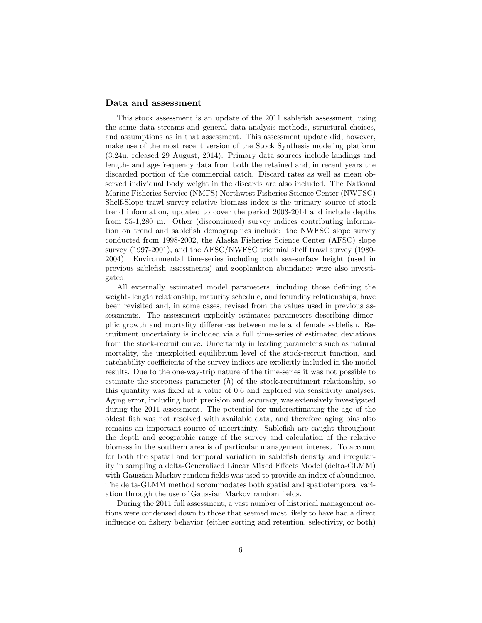## Data and assessment

This stock assessment is an update of the 2011 sablefish assessment, using the same data streams and general data analysis methods, structural choices, and assumptions as in that assessment. This assessment update did, however, make use of the most recent version of the Stock Synthesis modeling platform (3.24u, released 29 August, 2014). Primary data sources include landings and length- and age-frequency data from both the retained and, in recent years the discarded portion of the commercial catch. Discard rates as well as mean observed individual body weight in the discards are also included. The National Marine Fisheries Service (NMFS) Northwest Fisheries Science Center (NWFSC) Shelf-Slope trawl survey relative biomass index is the primary source of stock trend information, updated to cover the period 2003-2014 and include depths from 55-1,280 m. Other (discontinued) survey indices contributing information on trend and sablefish demographics include: the NWFSC slope survey conducted from 1998-2002, the Alaska Fisheries Science Center (AFSC) slope survey (1997-2001), and the AFSC/NWFSC triennial shelf trawl survey (1980- 2004). Environmental time-series including both sea-surface height (used in previous sablefish assessments) and zooplankton abundance were also investigated.

All externally estimated model parameters, including those defining the weight- length relationship, maturity schedule, and fecundity relationships, have been revisited and, in some cases, revised from the values used in previous assessments. The assessment explicitly estimates parameters describing dimorphic growth and mortality differences between male and female sablefish. Recruitment uncertainty is included via a full time-series of estimated deviations from the stock-recruit curve. Uncertainty in leading parameters such as natural mortality, the unexploited equilibrium level of the stock-recruit function, and catchability coefficients of the survey indices are explicitly included in the model results. Due to the one-way-trip nature of the time-series it was not possible to estimate the steepness parameter  $(h)$  of the stock-recruitment relationship, so this quantity was fixed at a value of 0.6 and explored via sensitivity analyses. Aging error, including both precision and accuracy, was extensively investigated during the 2011 assessment. The potential for underestimating the age of the oldest fish was not resolved with available data, and therefore aging bias also remains an important source of uncertainty. Sablefish are caught throughout the depth and geographic range of the survey and calculation of the relative biomass in the southern area is of particular management interest. To account for both the spatial and temporal variation in sablefish density and irregularity in sampling a delta-Generalized Linear Mixed Effects Model (delta-GLMM) with Gaussian Markov random fields was used to provide an index of abundance. The delta-GLMM method accommodates both spatial and spatiotemporal variation through the use of Gaussian Markov random fields.

During the 2011 full assessment, a vast number of historical management actions were condensed down to those that seemed most likely to have had a direct influence on fishery behavior (either sorting and retention, selectivity, or both)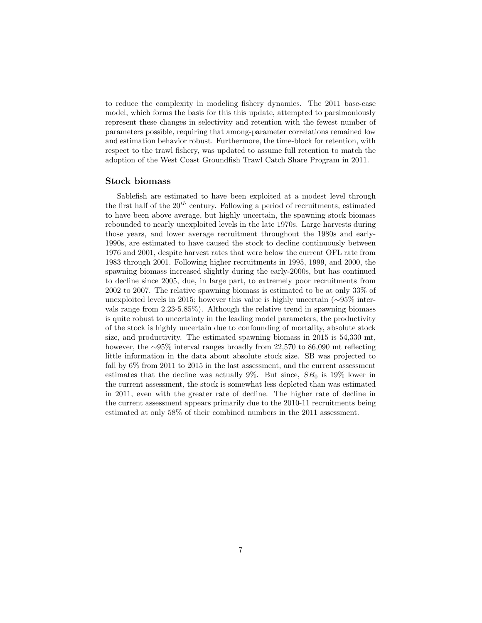to reduce the complexity in modeling fishery dynamics. The 2011 base-case model, which forms the basis for this this update, attempted to parsimoniously represent these changes in selectivity and retention with the fewest number of parameters possible, requiring that among-parameter correlations remained low and estimation behavior robust. Furthermore, the time-block for retention, with respect to the trawl fishery, was updated to assume full retention to match the adoption of the West Coast Groundfish Trawl Catch Share Program in 2011.

#### Stock biomass

Sablefish are estimated to have been exploited at a modest level through the first half of the  $20^{th}$  century. Following a period of recruitments, estimated to have been above average, but highly uncertain, the spawning stock biomass rebounded to nearly unexploited levels in the late 1970s. Large harvests during those years, and lower average recruitment throughout the 1980s and early-1990s, are estimated to have caused the stock to decline continuously between 1976 and 2001, despite harvest rates that were below the current OFL rate from 1983 through 2001. Following higher recruitments in 1995, 1999, and 2000, the spawning biomass increased slightly during the early-2000s, but has continued to decline since 2005, due, in large part, to extremely poor recruitments from 2002 to 2007. The relative spawning biomass is estimated to be at only 33% of unexploited levels in 2015; however this value is highly uncertain (∼95% intervals range from 2.23-5.85%). Although the relative trend in spawning biomass is quite robust to uncertainty in the leading model parameters, the productivity of the stock is highly uncertain due to confounding of mortality, absolute stock size, and productivity. The estimated spawning biomass in 2015 is 54,330 mt, however, the ∼95% interval ranges broadly from 22,570 to 86,090 mt reflecting little information in the data about absolute stock size. SB was projected to fall by 6% from 2011 to 2015 in the last assessment, and the current assessment estimates that the decline was actually 9%. But since,  $SB_0$  is 19% lower in the current assessment, the stock is somewhat less depleted than was estimated in 2011, even with the greater rate of decline. The higher rate of decline in the current assessment appears primarily due to the 2010-11 recruitments being estimated at only 58% of their combined numbers in the 2011 assessment.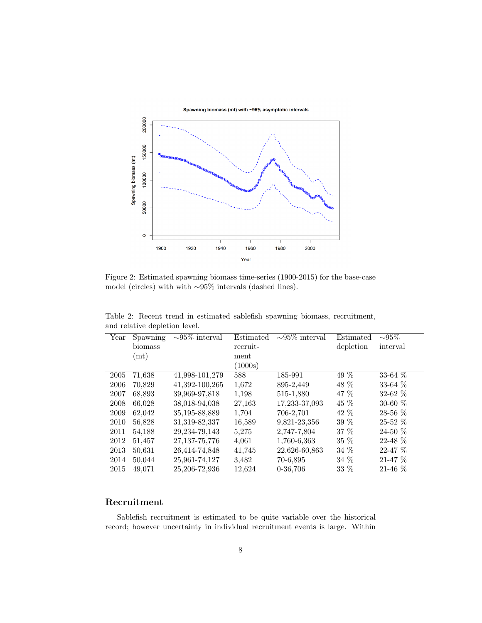Spawning biomass (mt) with ~95% asymptotic intervals



Figure 2: Estimated spawning biomass time-series (1900-2015) for the base-case model (circles) with with ∼95% intervals (dashed lines).

| Year | Spawning<br>biomass<br>$(\mathrm{mt})$ | $\sim 95\%$ interval | Estimated<br>recruit-<br>ment | $\sim 95\%$ interval | Estimated<br>depletion | $\overline{\sim}95\%$<br>interval |
|------|----------------------------------------|----------------------|-------------------------------|----------------------|------------------------|-----------------------------------|
|      |                                        |                      | (1000s)                       |                      |                        |                                   |
| 2005 | 71,638                                 | 41,998-101,279       | 588                           | 185-991              | 49 %                   | $33-64%$                          |
| 2006 | 70,829                                 | 41,392-100,265       | 1,672                         | 895-2,449            | 48 %                   | 33-64 $%$                         |
| 2007 | 68,893                                 | 39,969-97,818        | 1,198                         | 515-1,880            | 47 %                   | $32 - 62\%$                       |
| 2008 | 66,028                                 | 38,018-94,038        | 27,163                        | 17,233-37,093        | 45 %                   | $30 - 60\%$                       |
| 2009 | 62,042                                 | 35, 195-88, 889      | 1,704                         | 706-2,701            | 42 %                   | 28-56 %                           |
| 2010 | 56,828                                 | 31,319-82,337        | 16,589                        | 9,821-23,356         | 39 %                   | $25 - 52\%$                       |
| 2011 | 54,188                                 | 29, 234 - 79, 143    | 5,275                         | 2,747-7,804          | 37 %                   | $24-50\%$                         |
| 2012 | 51,457                                 | 27, 137-75, 776      | 4,061                         | 1,760-6,363          | 35 %                   | 22-48 %                           |
| 2013 | 50.631                                 | 26,414-74,848        | 41,745                        | 22,626-60,863        | 34 %                   | $22 - 47\%$                       |
| 2014 | 50,044                                 | 25,961-74,127        | 3.482                         | 70-6.895             | 34 %                   | $21 - 47\%$                       |
| 2015 | 49,071                                 | 25,206-72,936        | 12,624                        | 0-36,706             | 33 %                   | $21-46\%$                         |

Table 2: Recent trend in estimated sablefish spawning biomass, recruitment, and relative depletion level.

## Recruitment

Sablefish recruitment is estimated to be quite variable over the historical record; however uncertainty in individual recruitment events is large. Within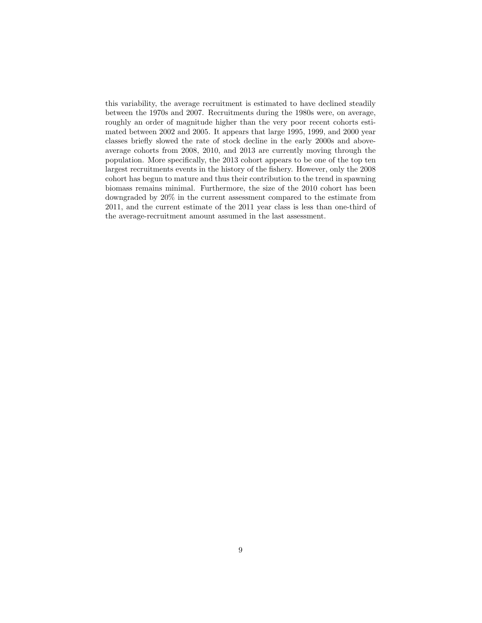this variability, the average recruitment is estimated to have declined steadily between the 1970s and 2007. Recruitments during the 1980s were, on average, roughly an order of magnitude higher than the very poor recent cohorts estimated between 2002 and 2005. It appears that large 1995, 1999, and 2000 year classes briefly slowed the rate of stock decline in the early 2000s and aboveaverage cohorts from 2008, 2010, and 2013 are currently moving through the population. More specifically, the 2013 cohort appears to be one of the top ten largest recruitments events in the history of the fishery. However, only the 2008 cohort has begun to mature and thus their contribution to the trend in spawning biomass remains minimal. Furthermore, the size of the 2010 cohort has been downgraded by 20% in the current assessment compared to the estimate from 2011, and the current estimate of the 2011 year class is less than one-third of the average-recruitment amount assumed in the last assessment.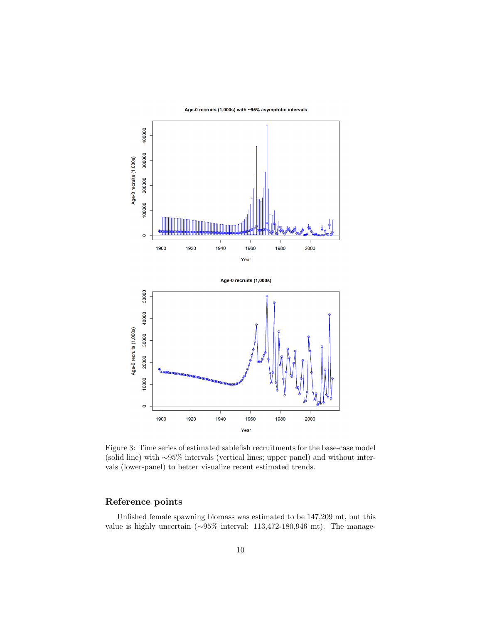

Age-0 recruits (1,000s) with ~95% asymptotic intervals

Figure 3: Time series of estimated sablefish recruitments for the base-case model (solid line) with ∼95% intervals (vertical lines; upper panel) and without intervals (lower-panel) to better visualize recent estimated trends.

## Reference points

Unfished female spawning biomass was estimated to be 147,209 mt, but this value is highly uncertain (∼95% interval: 113,472-180,946 mt). The manage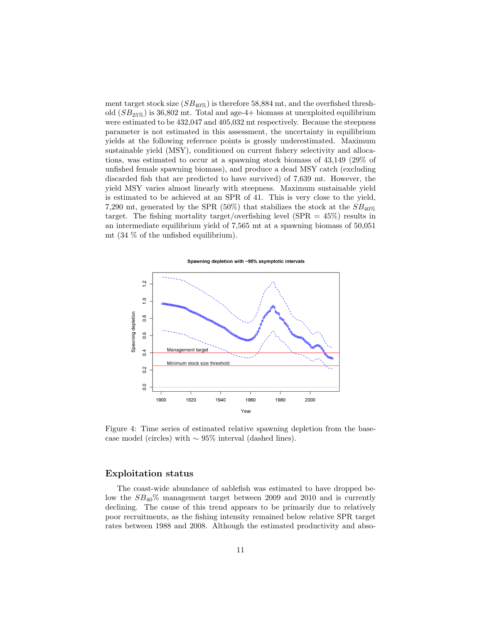ment target stock size  $(SB_{40\%})$  is therefore 58,884 mt, and the overfished threshold  $(SB_{25\%})$  is 36,802 mt. Total and age-4+ biomass at unexploited equilibrium were estimated to be 432,047 and 405,032 mt respectively. Because the steepness parameter is not estimated in this assessment, the uncertainty in equilibrium yields at the following reference points is grossly underestimated. Maximum sustainable yield (MSY), conditioned on current fishery selectivity and allocations, was estimated to occur at a spawning stock biomass of 43,149 (29% of unfished female spawning biomass), and produce a dead MSY catch (excluding discarded fish that are predicted to have survived) of 7,639 mt. However, the yield MSY varies almost linearly with steepness. Maximum sustainable yield is estimated to be achieved at an SPR of 41. This is very close to the yield, 7,290 mt, generated by the SPR (50%) that stabilizes the stock at the  $SB_{40\%}$ target. The fishing mortality target/overfishing level  $(SPR = 45\%)$  results in an intermediate equilibrium yield of 7,565 mt at a spawning biomass of 50,051 mt (34 % of the unfished equilibrium).





Figure 4: Time series of estimated relative spawning depletion from the basecase model (circles) with  $\sim 95\%$  interval (dashed lines).

## Exploitation status

The coast-wide abundance of sablefish was estimated to have dropped below the  $SB_{40}\%$  management target between 2009 and 2010 and is currently declining. The cause of this trend appears to be primarily due to relatively poor recruitments, as the fishing intensity remained below relative SPR target rates between 1988 and 2008. Although the estimated productivity and abso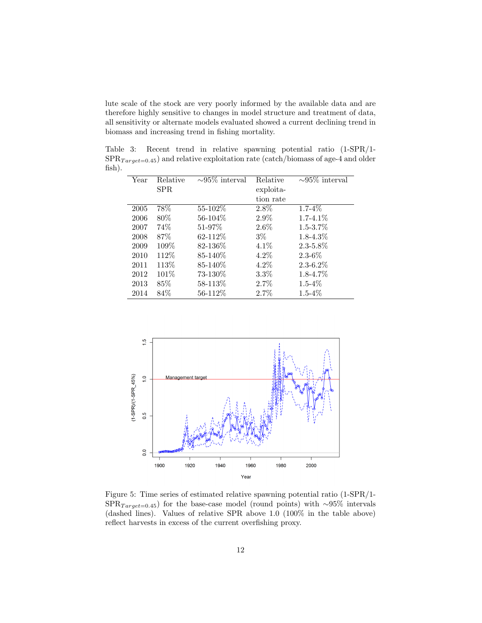lute scale of the stock are very poorly informed by the available data and are therefore highly sensitive to changes in model structure and treatment of data, all sensitivity or alternate models evaluated showed a current declining trend in biomass and increasing trend in fishing mortality.

Table 3: Recent trend in relative spawning potential ratio (1-SPR/1-  $SPR_{Target=0.45}$  and relative exploitation rate (catch/biomass of age-4 and older fish).

| Year | Relative | $\sim 95\%$ interval | Relative  | $\sqrt{95\%}$ interval |
|------|----------|----------------------|-----------|------------------------|
|      | SPR.     |                      | exploita- |                        |
|      |          |                      | tion rate |                        |
| 2005 | 78%      | 55-102%              | $2.8\%$   | $1.7 - 4\%$            |
| 2006 | $80\%$   | 56-104\%             | $2.9\%$   | $1.7 - 4.1\%$          |
| 2007 | 74%      | $51 - 97\%$          | $2.6\%$   | $1.5 - 3.7\%$          |
| 2008 | 87%      | 62-112%              | $3\%$     | $1.8 - 4.3\%$          |
| 2009 | 109%     | 82-136%              | $4.1\%$   | $2.3 - 5.8\%$          |
| 2010 | 112\%    | 85-140\%             | $4.2\%$   | $2.3 - 6\%$            |
| 2011 | 113\%    | 85-140\%             | $4.2\%$   | $2.3 - 6.2\%$          |
| 2012 | 101\%    | 73-130%              | $3.3\%$   | $1.8 - 4.7\%$          |
| 2013 | $85\%$   | 58-113%              | $2.7\%$   | $1.5 - 4\%$            |
| 2014 | 84%      | 56-112\%             | 2.7%      | $1.5 - 4\%$            |



Figure 5: Time series of estimated relative spawning potential ratio (1-SPR/1-  $SPR_{Target=0.45}$ ) for the base-case model (round points) with ∼95% intervals (dashed lines). Values of relative SPR above 1.0 (100% in the table above) reflect harvests in excess of the current overfishing proxy.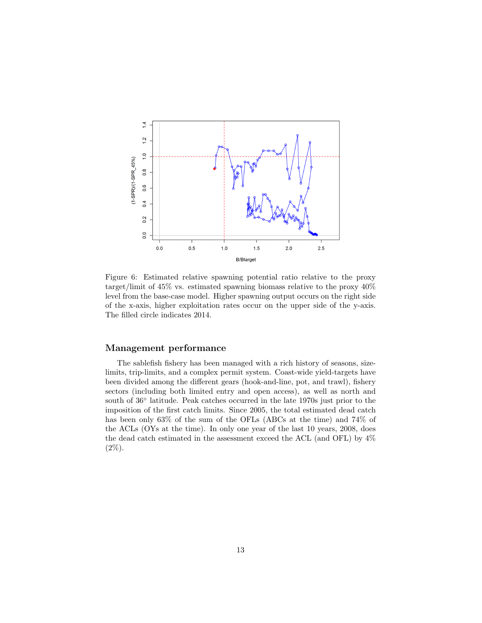

Figure 6: Estimated relative spawning potential ratio relative to the proxy target/limit of 45% vs. estimated spawning biomass relative to the proxy 40% level from the base-case model. Higher spawning output occurs on the right side of the x-axis, higher exploitation rates occur on the upper side of the y-axis. The filled circle indicates 2014.

## Management performance

The sablefish fishery has been managed with a rich history of seasons, sizelimits, trip-limits, and a complex permit system. Coast-wide yield-targets have been divided among the different gears (hook-and-line, pot, and trawl), fishery sectors (including both limited entry and open access), as well as north and south of  $36°$  latitude. Peak catches occurred in the late 1970s just prior to the imposition of the first catch limits. Since 2005, the total estimated dead catch has been only 63% of the sum of the OFLs (ABCs at the time) and 74% of the ACLs (OYs at the time). In only one year of the last 10 years, 2008, does the dead catch estimated in the assessment exceed the ACL (and OFL) by 4%  $(2\%).$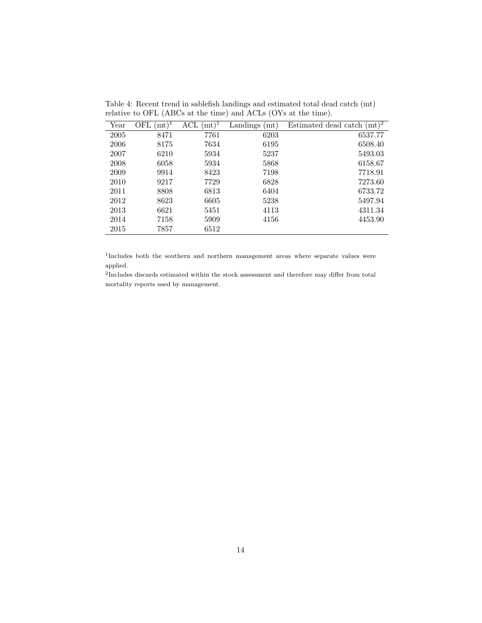| Year | $\mathrm{m}\mathrm{t}\mathrm{)}^{1}$<br>OFL | $\mathrm{m}\mathrm{t}\mathrm{)}^1$<br>ACL | Landings<br>$\rm (mt)$ | $\overline{(mt)^2}$<br>Estimated dead catch |
|------|---------------------------------------------|-------------------------------------------|------------------------|---------------------------------------------|
| 2005 | 8471                                        | 7761                                      | 6203                   | 6537.77                                     |
| 2006 | 8175                                        | 7634                                      | 6195                   | 6508.40                                     |
| 2007 | 6210                                        | 5934                                      | 5237                   | 5493.03                                     |
| 2008 | 6058                                        | 5934                                      | 5868                   | 6158.67                                     |
| 2009 | 9914                                        | 8423                                      | 7198                   | 7718.91                                     |
| 2010 | 9217                                        | 7729                                      | 6828                   | 7273.60                                     |
| 2011 | 8808                                        | 6813                                      | 6404                   | 6733.72                                     |
| 2012 | 8623                                        | 6605                                      | 5238                   | 5497.94                                     |
| 2013 | 6621                                        | 5451                                      | 4113                   | 4311.34                                     |
| 2014 | 7158                                        | 5909                                      | 4156                   | 4453.90                                     |
| 2015 | 7857                                        | 6512                                      |                        |                                             |

Table 4: Recent trend in sablefish landings and estimated total dead catch (mt) relative to OFL (ABCs at the time) and ACLs (OYs at the time).

1 Includes both the southern and northern management areas where separate values were applied.

2 Includes discards estimated within the stock assessment and therefore may differ from total mortality reports used by management.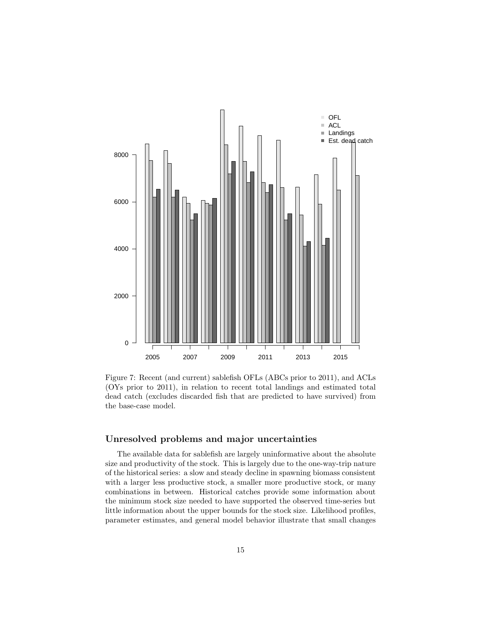

Figure 7: Recent (and current) sablefish OFLs (ABCs prior to 2011), and ACLs (OYs prior to 2011), in relation to recent total landings and estimated total dead catch (excludes discarded fish that are predicted to have survived) from the base-case model.

## Unresolved problems and major uncertainties

The available data for sablefish are largely uninformative about the absolute size and productivity of the stock. This is largely due to the one-way-trip nature of the historical series: a slow and steady decline in spawning biomass consistent with a larger less productive stock, a smaller more productive stock, or many combinations in between. Historical catches provide some information about the minimum stock size needed to have supported the observed time-series but little information about the upper bounds for the stock size. Likelihood profiles, parameter estimates, and general model behavior illustrate that small changes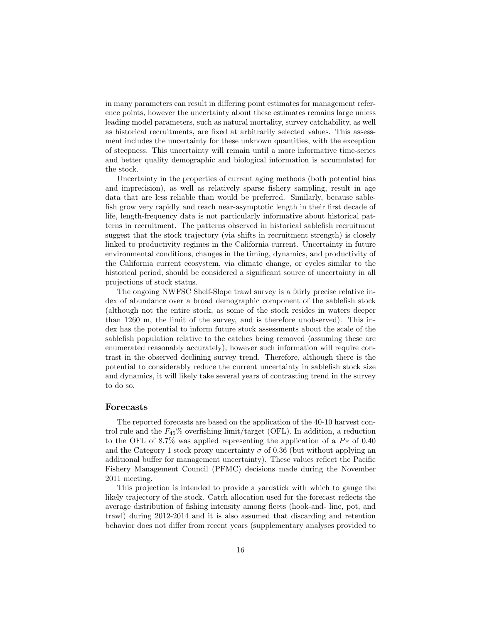in many parameters can result in differing point estimates for management reference points, however the uncertainty about these estimates remains large unless leading model parameters, such as natural mortality, survey catchability, as well as historical recruitments, are fixed at arbitrarily selected values. This assessment includes the uncertainty for these unknown quantities, with the exception of steepness. This uncertainty will remain until a more informative time-series and better quality demographic and biological information is accumulated for the stock.

Uncertainty in the properties of current aging methods (both potential bias and imprecision), as well as relatively sparse fishery sampling, result in age data that are less reliable than would be preferred. Similarly, because sablefish grow very rapidly and reach near-asymptotic length in their first decade of life, length-frequency data is not particularly informative about historical patterns in recruitment. The patterns observed in historical sablefish recruitment suggest that the stock trajectory (via shifts in recruitment strength) is closely linked to productivity regimes in the California current. Uncertainty in future environmental conditions, changes in the timing, dynamics, and productivity of the California current ecosystem, via climate change, or cycles similar to the historical period, should be considered a significant source of uncertainty in all projections of stock status.

The ongoing NWFSC Shelf-Slope trawl survey is a fairly precise relative index of abundance over a broad demographic component of the sablefish stock (although not the entire stock, as some of the stock resides in waters deeper than 1260 m, the limit of the survey, and is therefore unobserved). This index has the potential to inform future stock assessments about the scale of the sablefish population relative to the catches being removed (assuming these are enumerated reasonably accurately), however such information will require contrast in the observed declining survey trend. Therefore, although there is the potential to considerably reduce the current uncertainty in sablefish stock size and dynamics, it will likely take several years of contrasting trend in the survey to do so.

## Forecasts

The reported forecasts are based on the application of the 40-10 harvest control rule and the  $F_{45}$ % overfishing limit/target (OFL). In addition, a reduction to the OFL of 8.7% was applied representing the application of a P∗ of 0.40 and the Category 1 stock proxy uncertainty  $\sigma$  of 0.36 (but without applying an additional buffer for management uncertainty). These values reflect the Pacific Fishery Management Council (PFMC) decisions made during the November 2011 meeting.

This projection is intended to provide a yardstick with which to gauge the likely trajectory of the stock. Catch allocation used for the forecast reflects the average distribution of fishing intensity among fleets (hook-and- line, pot, and trawl) during 2012-2014 and it is also assumed that discarding and retention behavior does not differ from recent years (supplementary analyses provided to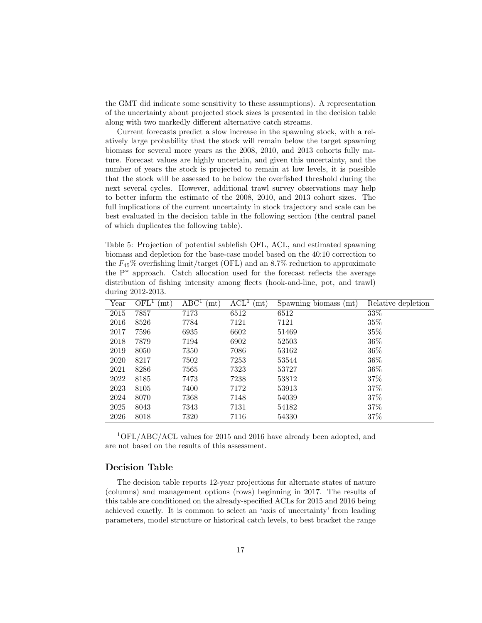the GMT did indicate some sensitivity to these assumptions). A representation of the uncertainty about projected stock sizes is presented in the decision table along with two markedly different alternative catch streams.

Current forecasts predict a slow increase in the spawning stock, with a relatively large probability that the stock will remain below the target spawning biomass for several more years as the 2008, 2010, and 2013 cohorts fully mature. Forecast values are highly uncertain, and given this uncertainty, and the number of years the stock is projected to remain at low levels, it is possible that the stock will be assessed to be below the overfished threshold during the next several cycles. However, additional trawl survey observations may help to better inform the estimate of the 2008, 2010, and 2013 cohort sizes. The full implications of the current uncertainty in stock trajectory and scale can be best evaluated in the decision table in the following section (the central panel of which duplicates the following table).

Table 5: Projection of potential sablefish OFL, ACL, and estimated spawning biomass and depletion for the base-case model based on the 40:10 correction to the  $F_{45}$ % overfishing limit/target (OFL) and an 8.7% reduction to approximate the  $P^*$  approach. Catch allocation used for the forecast reflects the average distribution of fishing intensity among fleets (hook-and-line, pot, and trawl) during 2012-2013.

| Year | OFL <sup>1</sup><br>(mt) | $\rm ABC^{1}$<br>$\mathbf{m}$ t) | $\rm ACL^{1}$<br>(mt) | Spawning biomass<br>(mt) | Relative depletion |
|------|--------------------------|----------------------------------|-----------------------|--------------------------|--------------------|
| 2015 | 7857                     | 7173                             | 6512                  | 6512                     | 33%                |
| 2016 | 8526                     | 7784                             | 7121                  | 7121                     | 35%                |
| 2017 | 7596                     | 6935                             | 6602                  | 51469                    | 35%                |
| 2018 | 7879                     | 7194                             | 6902                  | 52503                    | 36\%               |
| 2019 | 8050                     | 7350                             | 7086                  | 53162                    | 36\%               |
| 2020 | 8217                     | 7502                             | 7253                  | 53544                    | 36\%               |
| 2021 | 8286                     | 7565                             | 7323                  | 53727                    | 36\%               |
| 2022 | 8185                     | 7473                             | 7238                  | 53812                    | 37%                |
| 2023 | 8105                     | 7400                             | 7172                  | 53913                    | 37%                |
| 2024 | 8070                     | 7368                             | 7148                  | 54039                    | 37%                |
| 2025 | 8043                     | 7343                             | 7131                  | 54182                    | 37%                |
| 2026 | 8018                     | 7320                             | 7116                  | 54330                    | 37\%               |

<sup>1</sup>OFL/ABC/ACL values for 2015 and 2016 have already been adopted, and are not based on the results of this assessment.

## Decision Table

The decision table reports 12-year projections for alternate states of nature (columns) and management options (rows) beginning in 2017. The results of this table are conditioned on the already-specified ACLs for 2015 and 2016 being achieved exactly. It is common to select an 'axis of uncertainty' from leading parameters, model structure or historical catch levels, to best bracket the range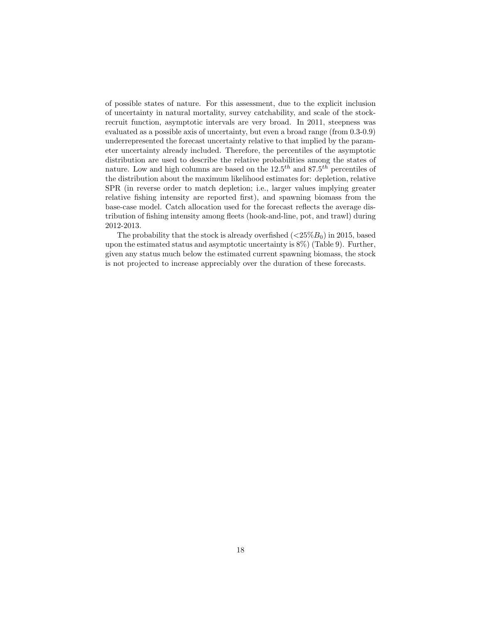of possible states of nature. For this assessment, due to the explicit inclusion of uncertainty in natural mortality, survey catchability, and scale of the stockrecruit function, asymptotic intervals are very broad. In 2011, steepness was evaluated as a possible axis of uncertainty, but even a broad range (from 0.3-0.9) underrepresented the forecast uncertainty relative to that implied by the parameter uncertainty already included. Therefore, the percentiles of the asymptotic distribution are used to describe the relative probabilities among the states of nature. Low and high columns are based on the  $12.5^{th}$  and  $87.5^{th}$  percentiles of the distribution about the maximum likelihood estimates for: depletion, relative SPR (in reverse order to match depletion; i.e., larger values implying greater relative fishing intensity are reported first), and spawning biomass from the base-case model. Catch allocation used for the forecast reflects the average distribution of fishing intensity among fleets (hook-and-line, pot, and trawl) during 2012-2013.

The probability that the stock is already overfished  $(<25\%B_0$ ) in 2015, based upon the estimated status and asymptotic uncertainty is 8%) (Table 9). Further, given any status much below the estimated current spawning biomass, the stock is not projected to increase appreciably over the duration of these forecasts.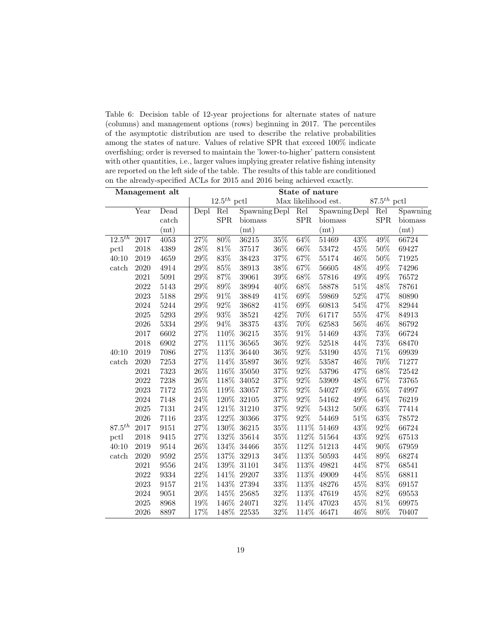Table 6: Decision table of 12-year projections for alternate states of nature (columns) and management options (rows) beginning in 2017. The percentiles of the asymptotic distribution are used to describe the relative probabilities among the states of nature. Values of relative SPR that exceed 100% indicate overfishing; order is reversed to maintain the 'lower-to-higher' pattern consistent with other quantities, i.e., larger values implying greater relative fishing intensity are reported on the left side of the table. The results of this table are conditioned on the already-specified ACLs for 2015 and 2016 being achieved exactly.

| Management alt |                   |                   | State of nature   |                  |                      |                   |             |                     |        |                  |          |
|----------------|-------------------|-------------------|-------------------|------------------|----------------------|-------------------|-------------|---------------------|--------|------------------|----------|
|                |                   |                   |                   | $12.5^{th}$ pctl |                      |                   |             | Max likelihood est. |        | $87.5^{th}$ pctl |          |
|                | Year              | Dead              | $De$ pl           | Rel              | Spawning Depl Rel    |                   |             | $Spawning$ Depl     |        | Rel              | Spawning |
|                |                   | catch             |                   | SPR              | biomass              |                   | ${\rm SPR}$ | biomass             |        | SPR              | biomass  |
|                |                   | (mt)              |                   |                  | (mt)                 |                   |             | (mt)                |        |                  | (mt)     |
| $12.5^{th}$    | $\overline{2017}$ | $\overline{4053}$ | $\overline{27\%}$ | $80\%$           | 36215                | $\overline{35\%}$ | 64%         | 51469               | 43%    | 49%              | 66724    |
| pctl           | 2018              | 4389              | $28\%$            | 81%              | 37517                | 36%               | 66%         | 53472               | 45%    | $50\%$           | 69427    |
| 40:10          | 2019              | 4659              | 29%               | 83%              | 38423                | 37%               | 67%         | 55174               | 46%    | $50\%$           | 71925    |
| catch          | 2020              | 4914              | 29%               | 85%              | 38913                | $38\%$            | 67%         | 56605               | 48%    | 49%              | 74296    |
|                | 2021              | 5091              | 29%               | 87%              | 39061                | 39%               | 68%         | 57816               | 49%    | 49%              | 76572    |
|                | 2022              | 5143              | 29%               | 89%              | 38994                | 40%               | 68%         | 58878               | $51\%$ | $48\%$           | 78761    |
|                | 2023              | 5188              | $29\%$            | 91%              | 38849                | 41%               | 69%         | 59869               | $52\%$ | 47%              | 80890    |
|                | 2024              | 5244              | $29\%$            | 92%              | 38682                | 41%               | 69%         | 60813               | 54%    | 47%              | 82944    |
|                | 2025              | 5293              | $29\%$            | $93\%$           | 38521                | 42%               | 70%         | 61717               | $55\%$ | 47%              | 84913    |
|                | 2026              | 5334              | 29%               | 94%              | 38375                | 43%               | 70%         | 62583               | $56\%$ | 46%              | 86792    |
|                | 2017              | 6602              | $27\%$            | 110%             | 36215                | 35%               | $91\%$      | 51469               | 43%    | 73%              | 66724    |
|                | 2018              | 6902              | 27%               | 111%             | 36565                | 36%               | $92\%$      | 52518               | 44%    | 73%              | 68470    |
| 40:10          | 2019              | 7086              | $27\%$            | 113%             | 36440                | $36\%$            | $92\%$      | 53190               | 45%    | 71%              | 69939    |
| catch          | 2020              | 7253              | 27%               | 114%             | 35897                | 36%               | 92%         | 53587               | 46%    | 70%              | 71277    |
|                | 2021              | 7323              | 26%               | 116%             | 35050                | 37%               | 92%         | 53796               | 47%    | 68%              | 72542    |
|                | 2022              | 7238              | 26%               | 118%             | 34052                | 37%               | 92%         | 53909               | 48%    | 67%              | 73765    |
|                | 2023              | 7172              | $25\%$            | $119\%$          | $33057\,$            | 37%               | 92%         | 54027               | 49%    | $65\%$           | 74997    |
|                | 2024              | 7148              | $24\%$            | 120%             | 32105                | 37%               | 92%         | 54162               | 49%    | 64%              | 76219    |
|                | 2025              | 7131              | 24%               | 121%             | $31210\,$            | 37%               | 92%         | 54312               | $50\%$ | $63\%$           | 77414    |
|                | 2026              | 7116              | $23\%$            | 122%             | 30366                | 37%               | 92%         | 54469               | $51\%$ | $63\%$           | 78572    |
| $87.5^{th}$    | 2017              | 9151              | 27%               | 130%             | 36215                | 35%               | 111%        | 51469               | 43%    | $92\%$           | 66724    |
| pctl           | 2018              | 9415              | $27\%$            | 132%             | 35614                | $35\%$            | 112%        | 51564               | 43%    | 92%              | 67513    |
| 40:10          | 2019              | 9514              | 26%               | 134%             | 34466                | 35%               | 112\%       | 51213               | 44%    | 90%              | 67959    |
| catch          | 2020              | 9592              | 25%               | 137%             | 32913                | 34%               | 113%        | 50593               | 44%    | 89%              | 68274    |
|                | 2021              | 9556              | $24\%$            | 139%             | $31101\,$            | 34%               | 113%        | 49821               | 44%    | 87%              | 68541    |
|                | 2022              | 9334              | $22\%$            | 141%             | 29207                | $33\%$            | 113%        | 49009               | 44%    | $85\%$           | 68811    |
|                | 2023              | 9157              | $21\%$            | 143%             | $\boldsymbol{27394}$ | $33\%$            | 113%        | 48276               | 45%    | $83\%$           | 69157    |
|                | 2024              | 9051              | 20%               | 145%             | 25685                | 32%               | 113%        | 47619               | 45%    | 82%              | 69553    |
|                | 2025              | 8968              | 19%               | 146%             | 24071                | 32%               | 114%        | 47023               | 45%    | 81\%             | 69975    |
|                | 2026              | 8897              | 17%               |                  | 148% 22535           | 32%               |             | 114% 46471          | 46%    | 80%              | 70407    |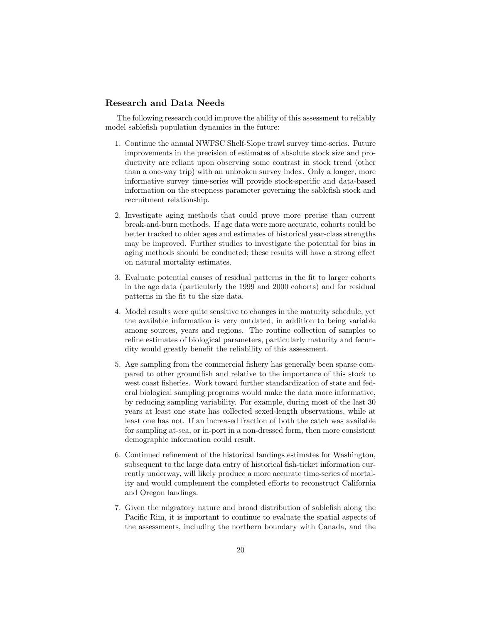## Research and Data Needs

The following research could improve the ability of this assessment to reliably model sablefish population dynamics in the future:

- 1. Continue the annual NWFSC Shelf-Slope trawl survey time-series. Future improvements in the precision of estimates of absolute stock size and productivity are reliant upon observing some contrast in stock trend (other than a one-way trip) with an unbroken survey index. Only a longer, more informative survey time-series will provide stock-specific and data-based information on the steepness parameter governing the sablefish stock and recruitment relationship.
- 2. Investigate aging methods that could prove more precise than current break-and-burn methods. If age data were more accurate, cohorts could be better tracked to older ages and estimates of historical year-class strengths may be improved. Further studies to investigate the potential for bias in aging methods should be conducted; these results will have a strong effect on natural mortality estimates.
- 3. Evaluate potential causes of residual patterns in the fit to larger cohorts in the age data (particularly the 1999 and 2000 cohorts) and for residual patterns in the fit to the size data.
- 4. Model results were quite sensitive to changes in the maturity schedule, yet the available information is very outdated, in addition to being variable among sources, years and regions. The routine collection of samples to refine estimates of biological parameters, particularly maturity and fecundity would greatly benefit the reliability of this assessment.
- 5. Age sampling from the commercial fishery has generally been sparse compared to other groundfish and relative to the importance of this stock to west coast fisheries. Work toward further standardization of state and federal biological sampling programs would make the data more informative, by reducing sampling variability. For example, during most of the last 30 years at least one state has collected sexed-length observations, while at least one has not. If an increased fraction of both the catch was available for sampling at-sea, or in-port in a non-dressed form, then more consistent demographic information could result.
- 6. Continued refinement of the historical landings estimates for Washington, subsequent to the large data entry of historical fish-ticket information currently underway, will likely produce a more accurate time-series of mortality and would complement the completed efforts to reconstruct California and Oregon landings.
- 7. Given the migratory nature and broad distribution of sablefish along the Pacific Rim, it is important to continue to evaluate the spatial aspects of the assessments, including the northern boundary with Canada, and the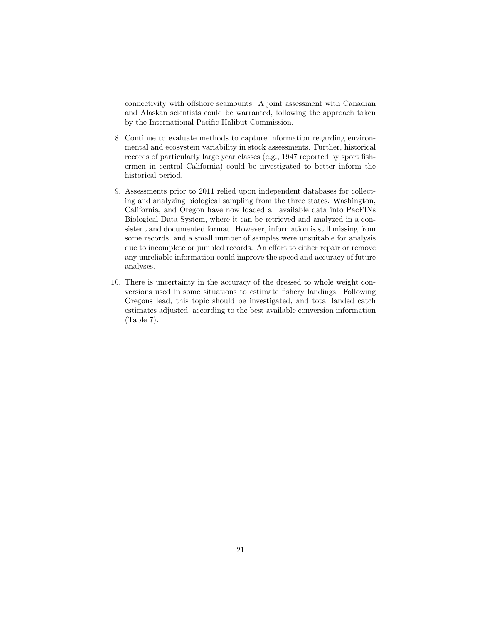connectivity with offshore seamounts. A joint assessment with Canadian and Alaskan scientists could be warranted, following the approach taken by the International Pacific Halibut Commission.

- 8. Continue to evaluate methods to capture information regarding environmental and ecosystem variability in stock assessments. Further, historical records of particularly large year classes (e.g., 1947 reported by sport fishermen in central California) could be investigated to better inform the historical period.
- 9. Assessments prior to 2011 relied upon independent databases for collecting and analyzing biological sampling from the three states. Washington, California, and Oregon have now loaded all available data into PacFINs Biological Data System, where it can be retrieved and analyzed in a consistent and documented format. However, information is still missing from some records, and a small number of samples were unsuitable for analysis due to incomplete or jumbled records. An effort to either repair or remove any unreliable information could improve the speed and accuracy of future analyses.
- 10. There is uncertainty in the accuracy of the dressed to whole weight conversions used in some situations to estimate fishery landings. Following Oregons lead, this topic should be investigated, and total landed catch estimates adjusted, according to the best available conversion information (Table 7).